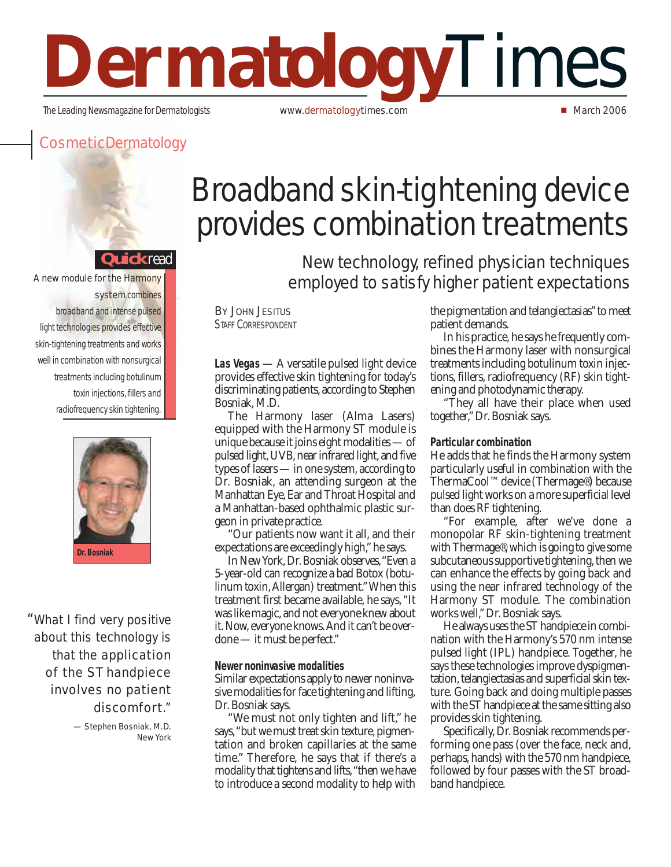# **Dermatology**Times The Leading Newsmagazine for Dermatologists **www.dermatologytimes.com** March 2006

### **cosmeticDermatology**

#### **uick**read

A new module for the Harmony system combines

broadband and intense pulsed light technologies provides effective skin-tightening treatments and works well in combination with nonsurgical treatments including botulinum toxin injections, fillers and radiofrequency skin tightening.



"What I find very positive about this technology is that the **application** of the ST handpiece involves no patient discomfort."

> — Stephen Bosniak, M.D. New York

## Broadband skin-tightening device provides combination treatments

New technology, refined physician techniques employed to satisfy higher patient expectations

#### **BY JOHN JESITUS** STAFF CORRESPONDENT

**Las Vegas** — A versatile pulsed light device provides effective skin tightening for today's discriminating patients, according to Stephen Bosniak, M.D.

The Harmony laser (Alma Lasers) equipped with the Harmony ST module is unique because it joins eight modalities — of pulsed light, UVB, near infrared light, and five types of lasers — in one system, according to Dr. Bosniak, an attending surgeon at the Manhattan Eye, Ear and Throat Hospital and a Manhattan-based ophthalmic plastic surgeon in private practice.

"Our patients now want it all, and their expectations are exceedingly high," he says.

In New York, Dr. Bosniak observes,"Even a 5-year-old can recognize a bad Botox (botulinum toxin,Allergan) treatment."When this treatment first became available, he says, "It was like magic, and not everyone knew about it. Now, everyone knows.And it can't be overdone — it must be perfect."

#### **Newer noninvasive modalities**

Similar expectations apply to newer noninvasive modalities for face tightening and lifting, Dr. Bosniak says.

"We must not only tighten and lift," he says,"but we must treat skin texture, pigmentation and broken capillaries at the same time." Therefore, he says that if there's a modality that tightens and lifts,"then we have to introduce a second modality to help with

the pigmentation and telangiectasias"to meet patient demands.

In his practice, he says he frequently combines the Harmony laser with nonsurgical treatments including botulinum toxin injections, fillers, radiofrequency (RF) skin tightening and photodynamic therapy.

"They all have their place when used together,"Dr. Bosniak says.

#### **Particular combination**

He adds that he finds the Harmony system particularly useful in combination with the ThermaCool™ device (Thermage®) because pulsed light works on a more superficial level than does RF tightening.

"For example, after we've done a monopolar RF skin-tightening treatment with Thermage®, which is going to give some subcutaneous supportive tightening, then we can enhance the effects by going back and using the near infrared technology of the Harmony ST module. The combination works well,"Dr. Bosniak says.

He always uses the ST handpiece in combination with the Harmony's 570 nm intense pulsed light (IPL) handpiece. Together, he says these technologies improve dyspigmentation, telangiectasias and superficial skin texture. Going back and doing multiple passes with the ST handpiece at the same sitting also provides skin tightening.

Specifically, Dr. Bosniak recommends performing one pass (over the face, neck and, perhaps, hands) with the 570 nm handpiece, followed by four passes with the ST broadband handpiece.